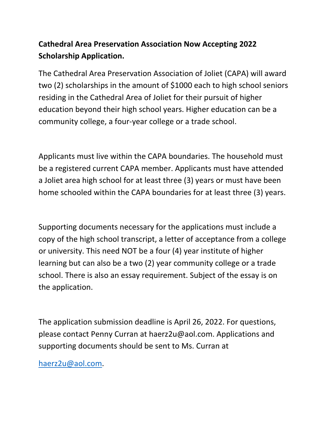## **Cathedral Area Preservation Association Now Accepting 2022 Scholarship Application.**

The Cathedral Area Preservation Association of Joliet (CAPA) will award two (2) scholarships in the amount of \$1000 each to high school seniors residing in the Cathedral Area of Joliet for their pursuit of higher education beyond their high school years. Higher education can be a community college, a four-year college or a trade school.

Applicants must live within the CAPA boundaries. The household must be a registered current CAPA member. Applicants must have attended a Joliet area high school for at least three (3) years or must have been home schooled within the CAPA boundaries for at least three (3) years.

Supporting documents necessary for the applications must include a copy of the high school transcript, a letter of acceptance from a college or university. This need NOT be a four (4) year institute of higher learning but can also be a two (2) year community college or a trade school. There is also an essay requirement. Subject of the essay is on the application.

The application submission deadline is April 26, 2022. For questions, please contact Penny Curran at haerz2u@aol.com. Applications and supporting documents should be sent to Ms. Curran at

[haerz2u@aol.com.](mailto:haerz2u@aol.com)